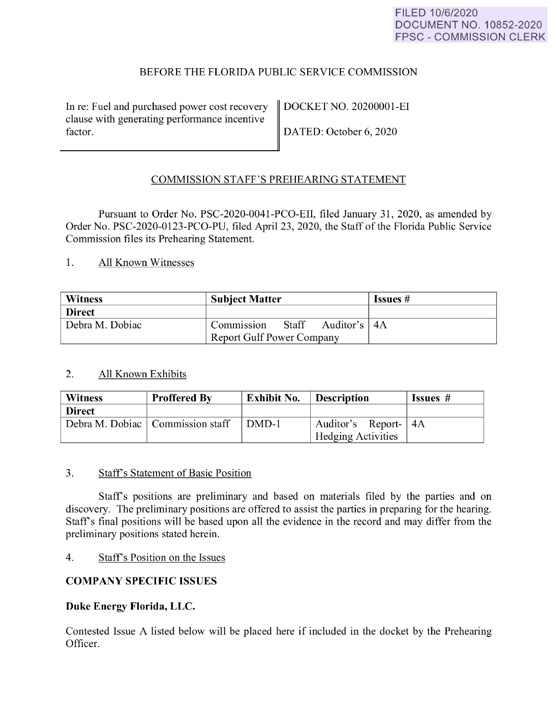# BEFORE THE FLORIDA PUBLIC SERVICE COMMISSION

<span id="page-0-0"></span>In re: Fuel and purchased power cost recovery | DOCKET NO. 20200001-EI clause with generating performance incentive factor.  $\parallel$  DATED: October 6, 2020

# COMMISSION STAFF'S PREHEARING STATEMENT

Pursuant to Order No. PSC-2020-0041-PCO-EII, filed January 31, 2020, as amended by Order No. PSC-2020-0123-PCO-PU, filed April 23, 2020, the Staff of the Florida Public Service Commission files its Prehearing Statement.

1. All Known Witnesses

| <b>Witness</b>  | <b>Subject Matter</b>                 | Issues # |
|-----------------|---------------------------------------|----------|
| <b>Direct</b>   |                                       |          |
| Debra M. Dobiac | Staff<br>Auditor's   4A<br>Commission |          |
|                 | <b>Report Gulf Power Company</b>      |          |

## 2. All Known Exhibits

| <b>Witness</b> | <b>Proffered By</b>                | <b>Exhibit No.</b> | <b>Description</b>        | Issues # |
|----------------|------------------------------------|--------------------|---------------------------|----------|
| <b>Direct</b>  |                                    |                    |                           |          |
|                | Debra M. Dobiac   Commission staff | DMD-1              | Auditor's Report- 4A      |          |
|                |                                    |                    | <b>Hedging Activities</b> |          |

#### 3. Staffs Statement of Basic Position

Staff's positions are preliminary and based on materials filed by the parties and on discovery. The preliminary positions are offered to assist the parties in preparing for the hearing. Staff's final positions will be based upon all the evidence in the record and may differ from the preliminary positions stated herein.

## 4. Staff's Position on the Issues

# **COMP ANY SPECIFIC ISSUES**

## **Duke Energy Florida, LLC.**

Contested Issue A listed below will be placed here if included in the docket by the Prehearing Officer.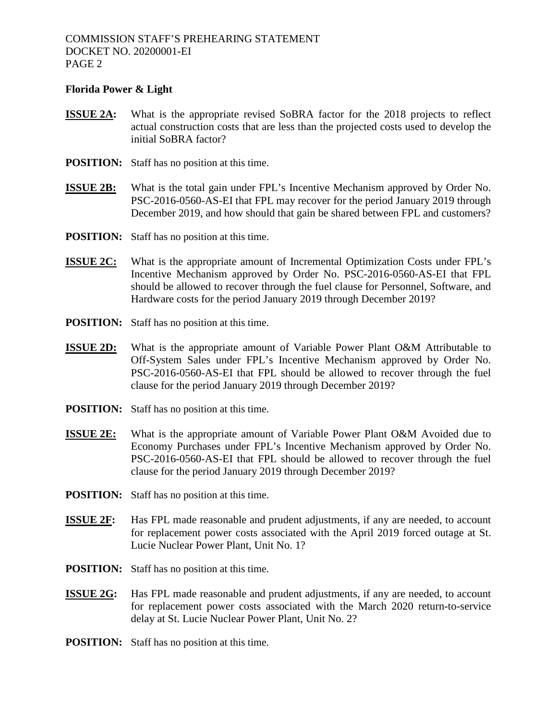#### **Florida Power & Light**

- **ISSUE 2A:** What is the appropriate revised SoBRA factor for the 2018 projects to reflect actual construction costs that are less than the projected costs used to develop the initial SoBRA factor?
- **POSITION:** Staff has no position at this time.
- **ISSUE 2B:** What is the total gain under FPL's Incentive Mechanism approved by Order No. PSC-2016-0560-AS-EI that FPL may recover for the period January 2019 through December 2019, and how should that gain be shared between FPL and customers?
- **POSITION:** Staff has no position at this time.
- **ISSUE 2C:** What is the appropriate amount of Incremental Optimization Costs under FPL's Incentive Mechanism approved by Order No. PSC-2016-0560-AS-EI that FPL should be allowed to recover through the fuel clause for Personnel, Software, and Hardware costs for the period January 2019 through December 2019?
- **POSITION:** Staff has no position at this time.
- **ISSUE 2D:** What is the appropriate amount of Variable Power Plant O&M Attributable to Off-System Sales under FPL's Incentive Mechanism approved by Order No. PSC-2016-0560-AS-EI that FPL should be allowed to recover through the fuel clause for the period January 2019 through December 2019?
- **POSITION:** Staff has no position at this time.
- **ISSUE 2E:** What is the appropriate amount of Variable Power Plant O&M Avoided due to Economy Purchases under FPL's Incentive Mechanism approved by Order No. PSC-2016-0560-AS-EI that FPL should be allowed to recover through the fuel clause for the period January 2019 through December 2019?
- **POSITION:** Staff has no position at this time.
- **ISSUE 2F:** Has FPL made reasonable and prudent adjustments, if any are needed, to account for replacement power costs associated with the April 2019 forced outage at St. Lucie Nuclear Power Plant, Unit No. 1?
- **POSITION:** Staff has no position at this time.
- **ISSUE 2G:** Has FPL made reasonable and prudent adjustments, if any are needed, to account for replacement power costs associated with the March 2020 return-to-service delay at St. Lucie Nuclear Power Plant, Unit No. 2?
- **POSITION:** Staff has no position at this time.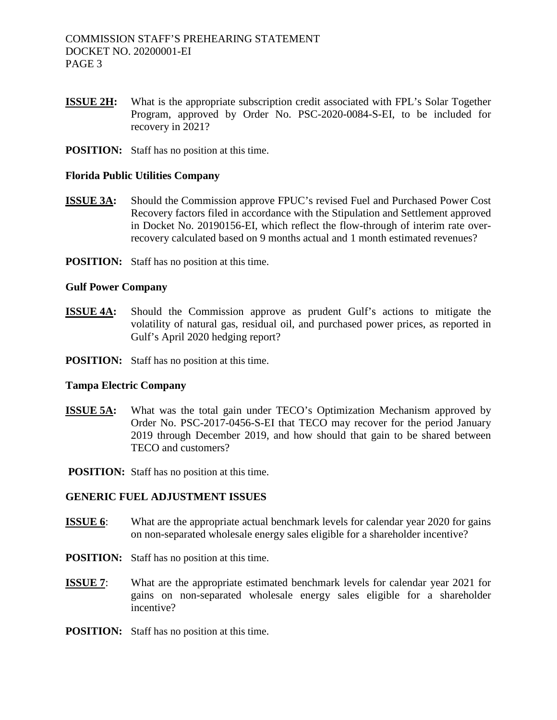- **ISSUE 2H:** What is the appropriate subscription credit associated with FPL's Solar Together Program, approved by Order No. PSC-2020-0084-S-EI, to be included for recovery in 2021?
- **POSITION:** Staff has no position at this time.

#### **Florida Public Utilities Company**

- **ISSUE 3A:** Should the Commission approve FPUC's revised Fuel and Purchased Power Cost Recovery factors filed in accordance with the Stipulation and Settlement approved in Docket No. 20190156-EI, which reflect the flow-through of interim rate overrecovery calculated based on 9 months actual and 1 month estimated revenues?
- **POSITION:** Staff has no position at this time.

#### **Gulf Power Company**

- **ISSUE 4A:** Should the Commission approve as prudent Gulf's actions to mitigate the volatility of natural gas, residual oil, and purchased power prices, as reported in Gulf's April 2020 hedging report?
- **POSITION:** Staff has no position at this time.

#### **Tampa Electric Company**

- **ISSUE 5A:** What was the total gain under TECO's Optimization Mechanism approved by Order No. PSC-2017-0456-S-EI that TECO may recover for the period January 2019 through December 2019, and how should that gain to be shared between TECO and customers?
- **POSITION:** Staff has no position at this time.

## **GENERIC FUEL ADJUSTMENT ISSUES**

- **ISSUE 6**: What are the appropriate actual benchmark levels for calendar year 2020 for gains on non-separated wholesale energy sales eligible for a shareholder incentive?
- **POSITION:** Staff has no position at this time.
- **ISSUE 7:** What are the appropriate estimated benchmark levels for calendar year 2021 for gains on non-separated wholesale energy sales eligible for a shareholder incentive?
- **POSITION:** Staff has no position at this time.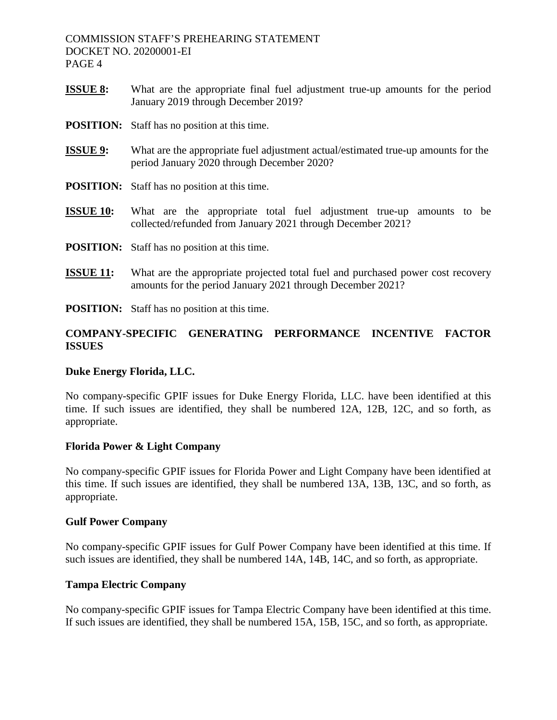- **ISSUE 8:** What are the appropriate final fuel adjustment true-up amounts for the period January 2019 through December 2019?
- **POSITION:** Staff has no position at this time.
- **ISSUE 9:** What are the appropriate fuel adjustment actual/estimated true-up amounts for the period January 2020 through December 2020?
- **POSITION:** Staff has no position at this time.
- **ISSUE 10:** What are the appropriate total fuel adjustment true-up amounts to be collected/refunded from January 2021 through December 2021?
- **POSITION:** Staff has no position at this time.
- **ISSUE 11:** What are the appropriate projected total fuel and purchased power cost recovery amounts for the period January 2021 through December 2021?
- **POSITION:** Staff has no position at this time.

# **COMPANY-SPECIFIC GENERATING PERFORMANCE INCENTIVE FACTOR ISSUES**

## **Duke Energy Florida, LLC.**

No company-specific GPIF issues for Duke Energy Florida, LLC. have been identified at this time. If such issues are identified, they shall be numbered 12A, 12B, 12C, and so forth, as appropriate.

## **Florida Power & Light Company**

No company-specific GPIF issues for Florida Power and Light Company have been identified at this time. If such issues are identified, they shall be numbered 13A, 13B, 13C, and so forth, as appropriate.

#### **Gulf Power Company**

No company-specific GPIF issues for Gulf Power Company have been identified at this time. If such issues are identified, they shall be numbered 14A, 14B, 14C, and so forth, as appropriate.

## **Tampa Electric Company**

No company-specific GPIF issues for Tampa Electric Company have been identified at this time. If such issues are identified, they shall be numbered 15A, 15B, 15C, and so forth, as appropriate.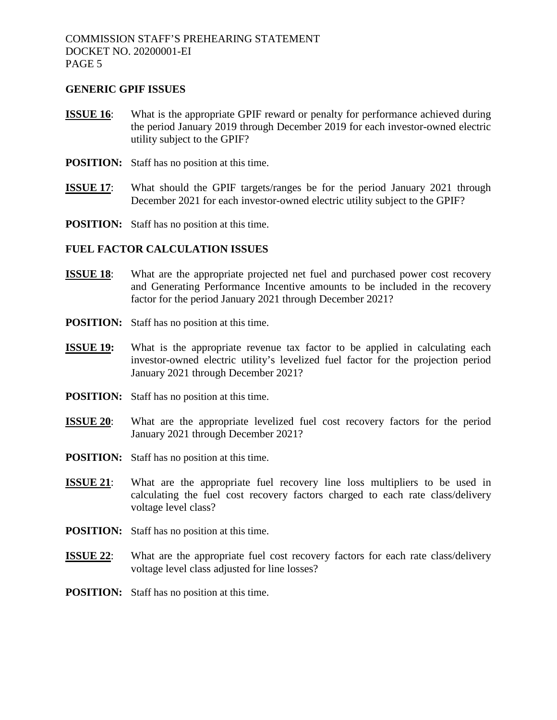#### **GENERIC GPIF ISSUES**

- **ISSUE 16**: What is the appropriate GPIF reward or penalty for performance achieved during the period January 2019 through December 2019 for each investor-owned electric utility subject to the GPIF?
- **POSITION:** Staff has no position at this time.
- **ISSUE 17:** What should the GPIF targets/ranges be for the period January 2021 through December 2021 for each investor-owned electric utility subject to the GPIF?
- **POSITION:** Staff has no position at this time.

## **FUEL FACTOR CALCULATION ISSUES**

- **ISSUE 18:** What are the appropriate projected net fuel and purchased power cost recovery and Generating Performance Incentive amounts to be included in the recovery factor for the period January 2021 through December 2021?
- **POSITION:** Staff has no position at this time.
- **ISSUE 19:** What is the appropriate revenue tax factor to be applied in calculating each investor-owned electric utility's levelized fuel factor for the projection period January 2021 through December 2021?
- **POSITION:** Staff has no position at this time.
- **ISSUE 20:** What are the appropriate levelized fuel cost recovery factors for the period January 2021 through December 2021?
- **POSITION:** Staff has no position at this time.
- **ISSUE 21**: What are the appropriate fuel recovery line loss multipliers to be used in calculating the fuel cost recovery factors charged to each rate class/delivery voltage level class?
- **POSITION:** Staff has no position at this time.
- **ISSUE 22:** What are the appropriate fuel cost recovery factors for each rate class/delivery voltage level class adjusted for line losses?
- **POSITION:** Staff has no position at this time.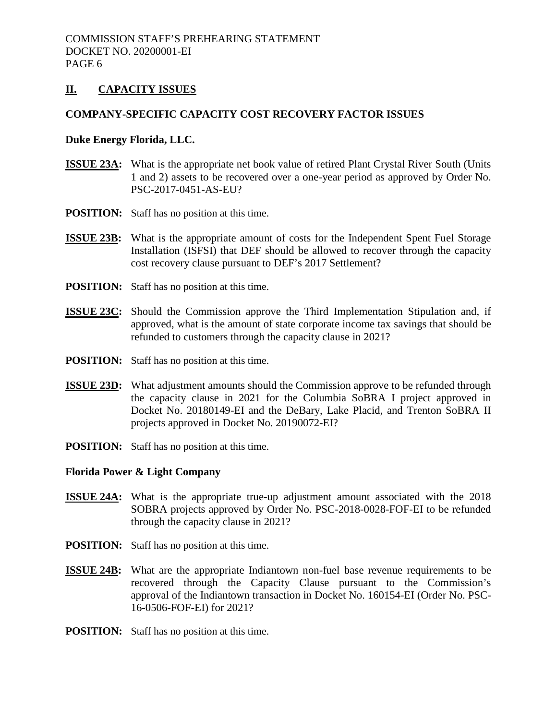# **II. CAPACITY ISSUES**

## **COMPANY-SPECIFIC CAPACITY COST RECOVERY FACTOR ISSUES**

#### **Duke Energy Florida, LLC.**

- **ISSUE 23A:** What is the appropriate net book value of retired Plant Crystal River South (Units 1 and 2) assets to be recovered over a one-year period as approved by Order No. PSC-2017-0451-AS-EU?
- **POSITION:** Staff has no position at this time.
- **ISSUE 23B:** What is the appropriate amount of costs for the Independent Spent Fuel Storage Installation (ISFSI) that DEF should be allowed to recover through the capacity cost recovery clause pursuant to DEF's 2017 Settlement?
- **POSITION:** Staff has no position at this time.
- **ISSUE 23C:** Should the Commission approve the Third Implementation Stipulation and, if approved, what is the amount of state corporate income tax savings that should be refunded to customers through the capacity clause in 2021?
- **POSITION:** Staff has no position at this time.
- **ISSUE 23D:** What adjustment amounts should the Commission approve to be refunded through the capacity clause in 2021 for the Columbia SoBRA I project approved in Docket No. 20180149-EI and the DeBary, Lake Placid, and Trenton SoBRA II projects approved in Docket No. 20190072-EI?
- **POSITION:** Staff has no position at this time.

#### **Florida Power & Light Company**

- **ISSUE 24A:** What is the appropriate true-up adjustment amount associated with the 2018 SOBRA projects approved by Order No. PSC-2018-0028-FOF-EI to be refunded through the capacity clause in 2021?
- **POSITION:** Staff has no position at this time.
- **ISSUE 24B:** What are the appropriate Indiantown non-fuel base revenue requirements to be recovered through the Capacity Clause pursuant to the Commission's approval of the Indiantown transaction in Docket No. 160154-EI (Order No. PSC-16-0506-FOF-EI) for 2021?
- **POSITION:** Staff has no position at this time.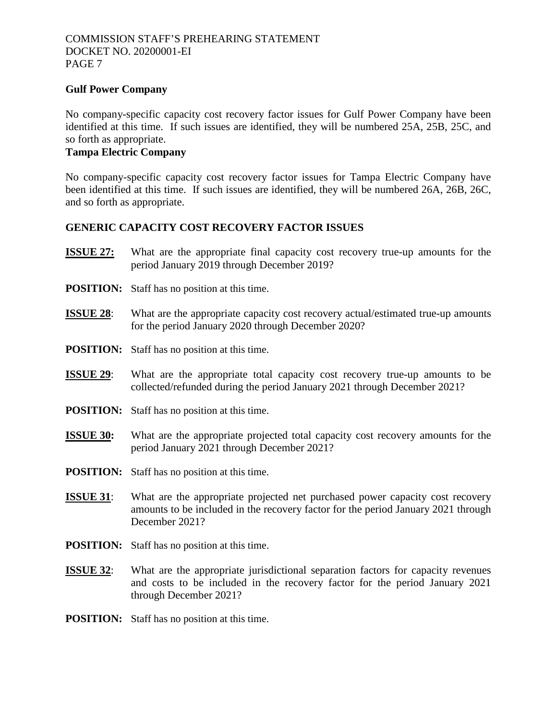## **Gulf Power Company**

No company-specific capacity cost recovery factor issues for Gulf Power Company have been identified at this time. If such issues are identified, they will be numbered 25A, 25B, 25C, and so forth as appropriate.

# **Tampa Electric Company**

No company-specific capacity cost recovery factor issues for Tampa Electric Company have been identified at this time. If such issues are identified, they will be numbered 26A, 26B, 26C, and so forth as appropriate.

# **GENERIC CAPACITY COST RECOVERY FACTOR ISSUES**

- **ISSUE 27:** What are the appropriate final capacity cost recovery true-up amounts for the period January 2019 through December 2019?
- **POSITION:** Staff has no position at this time.
- **ISSUE 28**: What are the appropriate capacity cost recovery actual/estimated true-up amounts for the period January 2020 through December 2020?
- **POSITION:** Staff has no position at this time.
- **ISSUE 29:** What are the appropriate total capacity cost recovery true-up amounts to be collected/refunded during the period January 2021 through December 2021?
- **POSITION:** Staff has no position at this time.
- **ISSUE 30:** What are the appropriate projected total capacity cost recovery amounts for the period January 2021 through December 2021?
- **POSITION:** Staff has no position at this time.
- **ISSUE 31**: What are the appropriate projected net purchased power capacity cost recovery amounts to be included in the recovery factor for the period January 2021 through December 2021?
- **POSITION:** Staff has no position at this time.
- **ISSUE 32**: What are the appropriate jurisdictional separation factors for capacity revenues and costs to be included in the recovery factor for the period January 2021 through December 2021?
- **POSITION:** Staff has no position at this time.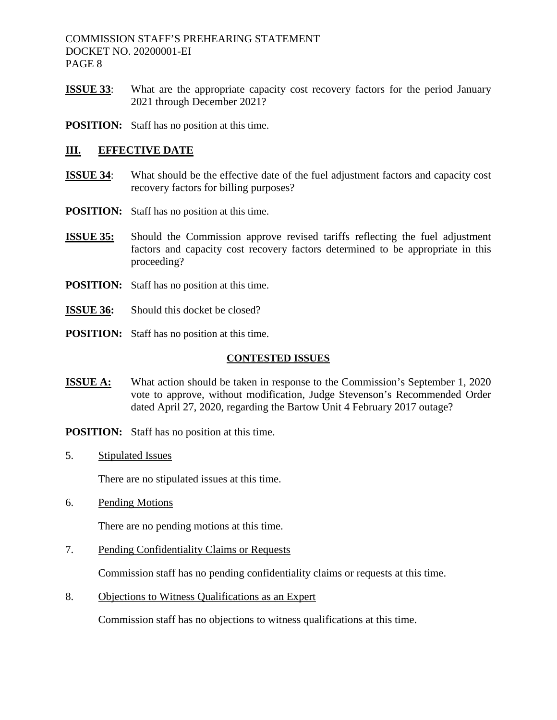COMMISSION STAFF'S PREHEARING STATEMENT DOCKET NO. 20200001-EI PAGE 8

- **ISSUE 33**: What are the appropriate capacity cost recovery factors for the period January 2021 through December 2021?
- **POSITION:** Staff has no position at this time.

## **III. EFFECTIVE DATE**

- **ISSUE 34:** What should be the effective date of the fuel adjustment factors and capacity cost recovery factors for billing purposes?
- **POSITION:** Staff has no position at this time.
- **ISSUE 35:** Should the Commission approve revised tariffs reflecting the fuel adjustment factors and capacity cost recovery factors determined to be appropriate in this proceeding?
- **POSITION:** Staff has no position at this time.
- **ISSUE 36:** Should this docket be closed?
- **POSITION:** Staff has no position at this time.

#### **CONTESTED ISSUES**

- **ISSUE A:** What action should be taken in response to the Commission's September 1, 2020 vote to approve, without modification, Judge Stevenson's Recommended Order dated April 27, 2020, regarding the Bartow Unit 4 February 2017 outage?
- **POSITION:** Staff has no position at this time.
- 5. Stipulated Issues

There are no stipulated issues at this time.

6. Pending Motions

There are no pending motions at this time.

7. Pending Confidentiality Claims or Requests

Commission staff has no pending confidentiality claims or requests at this time.

8. Objections to Witness Qualifications as an Expert

Commission staff has no objections to witness qualifications at this time.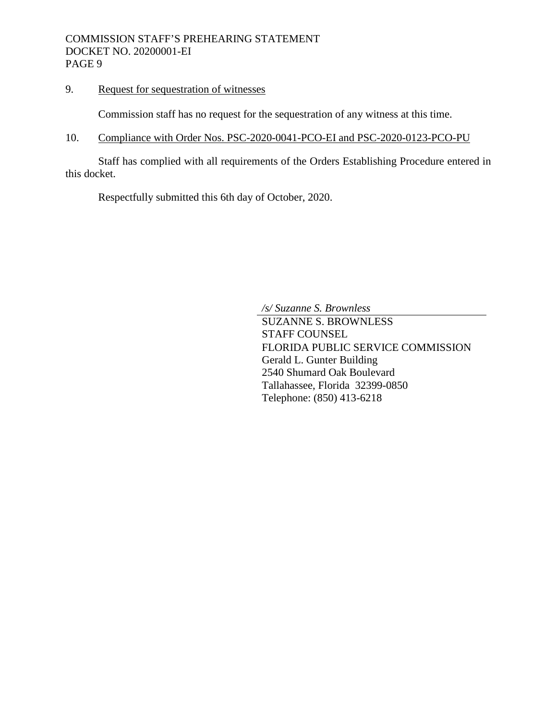9. Request for sequestration of witnesses

<span id="page-8-1"></span>Commission staff has no request for the sequestration of any witness at this time.

10. Compliance with Order Nos. PSC-2020-0041-PCO-EI and PSC-2020-0123-PCO-PU

Staff has complied with all requirements of the Orders Establishing Procedure entered in this docket.

<span id="page-8-2"></span>Respectfully submitted this 6th day of October, 2020.

<span id="page-8-0"></span>*/s/ Suzanne S. Brownless*

SUZANNE S. BROWNLESS STAFF COUNSEL FLORIDA PUBLIC SERVICE COMMISSION Gerald L. Gunter Building 2540 Shumard Oak Boulevard Tallahassee, Florida 32399-0850 Telephone: (850) 413-6218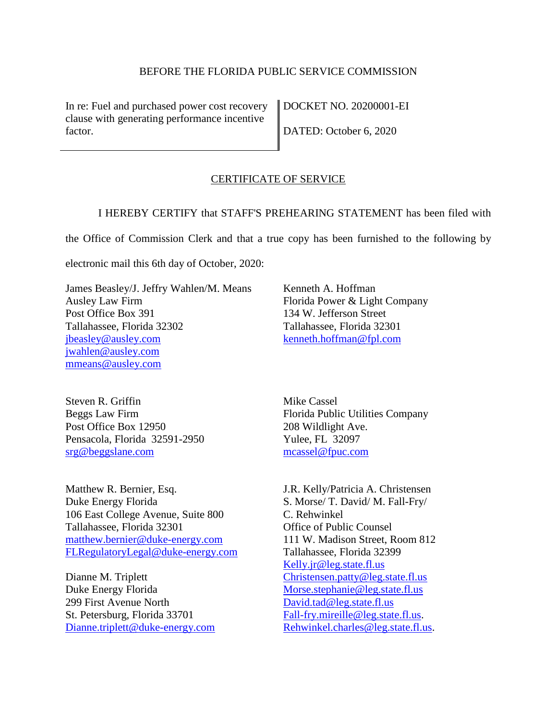## [BEFORE THE FLORIDA PUBLIC SERVICE COMMISSION](#page-0-0)

[In re: Fuel and purchased power cost recovery](#page-0-0)  [clause with generating performance incentive](#page-0-0)  [factor.](#page-0-0)

[DOCKET NO. 20200001-EI](#page-0-0) [DATED: October 6, 2020](#page-0-0) 

#### CERTIFICATE OF SERVICE

I HEREBY CERTIFY that STAFF'S PREHEARING STATEMENT has been filed with

the Office of Commission Clerk and that a true copy has been furnished to the following by

electronic mail this [6th day of October, 2020:](#page-8-0)

James Beasley/J. Jeffry Wahlen/M. Means Ausley Law Firm Post Office Box 391 Tallahassee, Florida 32302 [jbeasley@ausley.com](mailto:jbeasley@ausley.com) [jwahlen@ausley.com](mailto:jwahlen@ausley.com) [mmeans@ausley.com](mailto:mmeans@ausley.com)

Kenneth A. Hoffman Florida Power & Light Company 134 W. Jefferson Street Tallahassee, Florida 32301 [kenneth.hoffman@fpl.com](mailto:Ken.Hoffman@fpl.com)

Steven R. Griffin Beggs Law Firm Post Office Box 12950 Pensacola, Florida 32591-2950 [srg@beggslane.com](mailto:srg@beggslane.com)

Matthew R. Bernier, Esq. Duke Energy Florida 106 East College Avenue, Suite 800 Tallahassee, Florida 32301 [matthew.bernier@duke-energy.com](mailto:matthew.bernier@duke-energy.com) [FLRegulatoryLegal@duke-energy.com](mailto:FLRegulatoryLegal@duke-energy.com) 

Dianne M. Triplett Duke Energy Florida 299 First Avenue North St. Petersburg, Florida 33701 [Dianne.triplett@duke-energy.com](mailto:Dianne.triplett@duke-energy.com)  Mike Cassel Florida Public Utilities Company 208 Wildlight Ave. Yulee, FL 32097 [mcassel@fpuc.com](mailto:mcassel@fpuc.com)

J.R. Kelly/Patricia A. Christensen S. Morse/ T. David/ M. Fall-Fry/ C. Rehwinkel Office of Public Counsel 111 W. Madison Street, Room 812 Tallahassee, Florida 32399 [Kelly.jr@leg.state.fl.us](mailto:Kelly.jr@leg.state.fl.us)  [Christensen.patty@leg.state.fl.us](mailto:Christensen.patty@leg.state.fl.us)  [Morse.stephanie@leg.state.fl.us](mailto:Morse.stephanie@leg.state.fl.us)  [David.tad@leg.state.fl.us](mailto:David.tad@leg.state.fl.us)  [Fall-fry.mireille@leg.state.fl.us.](mailto:Fall-fry.mireille@leg.state.fl.us) [Rehwinkel.charles@leg.state.fl.us.](mailto:Rehwinkel.charles@leg.state.fl.us)